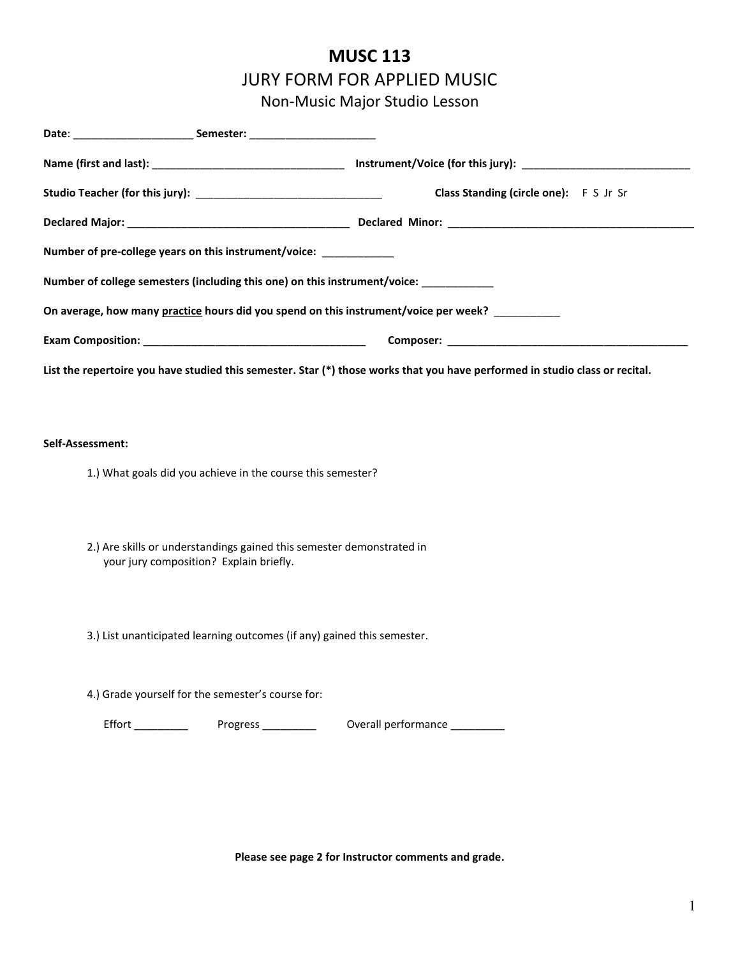## **MUSC 113** JURY FORM FOR APPLIED MUSIC Non-Music Major Studio Lesson

|                                                                                                                              | Class Standing (circle one): F S Jr Sr |  |  |  |  |  |
|------------------------------------------------------------------------------------------------------------------------------|----------------------------------------|--|--|--|--|--|
|                                                                                                                              |                                        |  |  |  |  |  |
| Number of pre-college years on this instrument/voice: ___________                                                            |                                        |  |  |  |  |  |
| Number of college semesters (including this one) on this instrument/voice: __________                                        |                                        |  |  |  |  |  |
| On average, how many practice hours did you spend on this instrument/voice per week? _________                               |                                        |  |  |  |  |  |
|                                                                                                                              |                                        |  |  |  |  |  |
| List the repertoire you have studied this semester. Star (*) those works that you have performed in studio class or recital. |                                        |  |  |  |  |  |
|                                                                                                                              |                                        |  |  |  |  |  |
| Self-Assessment:                                                                                                             |                                        |  |  |  |  |  |
| 1.) What goals did you achieve in the course this semester?                                                                  |                                        |  |  |  |  |  |
|                                                                                                                              |                                        |  |  |  |  |  |
| 2.) Are skills or understandings gained this semester demonstrated in                                                        |                                        |  |  |  |  |  |
| your jury composition? Explain briefly.                                                                                      |                                        |  |  |  |  |  |
|                                                                                                                              |                                        |  |  |  |  |  |
| 3.) List unanticipated learning outcomes (if any) gained this semester.                                                      |                                        |  |  |  |  |  |
|                                                                                                                              |                                        |  |  |  |  |  |
| 4.) Grade yourself for the semester's course for:                                                                            |                                        |  |  |  |  |  |
| Effort Progress _______                                                                                                      | Overall performance ________           |  |  |  |  |  |
|                                                                                                                              |                                        |  |  |  |  |  |

**Please see page 2 for Instructor comments and grade.**